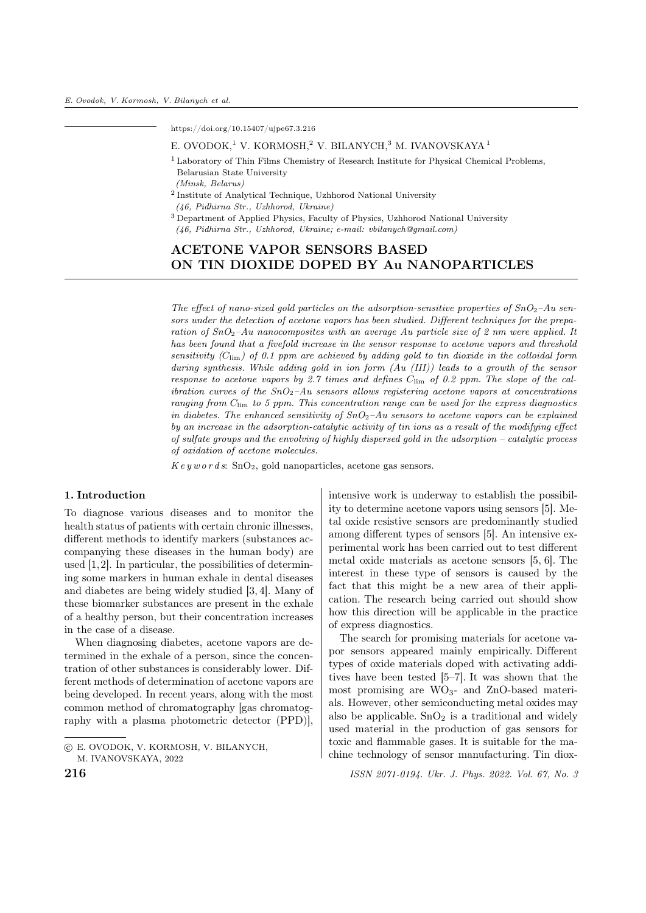https://doi.org/10.15407/ujpe67.3.216

#### E. OVODOK,<sup>1</sup> V. KORMOSH,<sup>2</sup> V. BILANYCH,<sup>3</sup> M. IVANOVSKAYA<sup>1</sup>

- <sup>1</sup> Laboratory of Thin Films Chemistry of Research Institute for Physical Chemical Problems, Belarusian State University
- (Minsk, Belarus)
- 2 Institute of Analytical Technique, Uzhhorod National University (46, Pidhirna Str., Uzhhorod, Ukraine)
- <sup>3</sup> Department of Applied Physics, Faculty of Physics, Uzhhorod National University (46, Pidhirna Str., Uzhhorod, Ukraine; e-mail: vbilanych@gmail.com)

# ACETONE VAPOR SENSORS BASED ON TIN DIOXIDE DOPED BY Au NANOPARTICLES

The effect of nano-sized gold particles on the adsorption-sensitive properties of  $SnO<sub>2</sub>-Au$  sensors under the detection of acetone vapors has been studied. Different techniques for the preparation of  $SnO<sub>2</sub>-Au$  nanocomposites with an average Au particle size of 2 nm were applied. It has been found that a fivefold increase in the sensor response to acetone vapors and threshold sensitivity ( $C_{\text{lim}}$ ) of 0.1 ppm are achieved by adding gold to tin dioxide in the colloidal form during synthesis. While adding gold in ion form (Au (III)) leads to a growth of the sensor response to acetone vapors by 2.7 times and defines  $C_{\text{lim}}$  of 0.2 ppm. The slope of the calibration curves of the  $SnO<sub>2</sub>-Au$  sensors allows registering acetone vapors at concentrations ranging from  $C_{\text{lim}}$  to 5 ppm. This concentration range can be used for the express diagnostics in diabetes. The enhanced sensitivity of  $SnO<sub>2</sub>-Au$  sensors to acetone vapors can be explained by an increase in the adsorption-catalytic activity of tin ions as a result of the modifying effect of sulfate groups and the envolving of highly dispersed gold in the adsorption – catalytic process of oxidation of acetone molecules.

 $Key words: SnO<sub>2</sub>, gold nanoparticles, acetone gas sensors.$ 

### 1. Introduction

To diagnose various diseases and to monitor the health status of patients with certain chronic illnesses, different methods to identify markers (substances accompanying these diseases in the human body) are used [1,2]. In particular, the possibilities of determining some markers in human exhale in dental diseases and diabetes are being widely studied [3, 4]. Many of these biomarker substances are present in the exhale of a healthy person, but their concentration increases in the case of a disease.

When diagnosing diabetes, acetone vapors are determined in the exhale of a person, since the concentration of other substances is considerably lower. Different methods of determination of acetone vapors are being developed. In recent years, along with the most common method of chromatography [gas chromatography with a plasma photometric detector (PPD)],

intensive work is underway to establish the possibility to determine acetone vapors using sensors [5]. Metal oxide resistive sensors are predominantly studied among different types of sensors [5]. An intensive experimental work has been carried out to test different metal oxide materials as acetone sensors [5, 6]. The interest in these type of sensors is caused by the fact that this might be a new area of their application. The research being carried out should show how this direction will be applicable in the practice of express diagnostics.

The search for promising materials for acetone vapor sensors appeared mainly empirically. Different types of oxide materials doped with activating additives have been tested [5–7]. It was shown that the most promising are  $WO_{3}$ - and ZnO-based materials. However, other semiconducting metal oxides may also be applicable.  $SnO<sub>2</sub>$  is a traditional and widely used material in the production of gas sensors for toxic and flammable gases. It is suitable for the machine technology of sensor manufacturing. Tin diox-

**216 ISSN** 2071-0194. Ukr. J. Phys. 2022. Vol. 67, No. 3

<sup>○</sup>c E. OVODOK, V. KORMOSH, V. BILANYCH, M. IVANOVSKAYA, 2022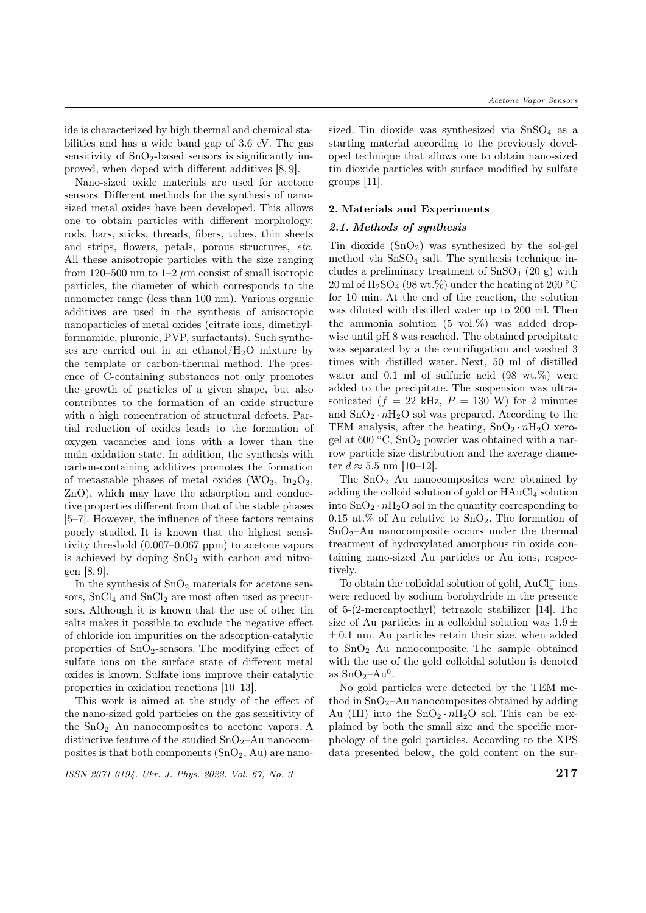ide is characterized by high thermal and chemical stabilities and has a wide band gap of 3.6 eV. The gas sensitivity of  $SnO<sub>2</sub>$ -based sensors is significantly improved, when doped with different additives [8, 9].

Nano-sized oxide materials are used for acetone sensors. Different methods for the synthesis of nanosized metal oxides have been developed. This allows one to obtain particles with different morphology: rods, bars, sticks, threads, fibers, tubes, thin sheets and strips, flowers, petals, porous structures, etc. All these anisotropic particles with the size ranging from 120–500 nm to 1–2  $\mu$ m consist of small isotropic particles, the diameter of which corresponds to the nanometer range (less than 100 nm). Various organic additives are used in the synthesis of anisotropic nanoparticles of metal oxides (citrate ions, dimethylformamide, pluronic, PVP, surfactants). Such syntheses are carried out in an ethanol/ $H_2O$  mixture by the template or carbon-thermal method. The presence of C-containing substances not only promotes the growth of particles of a given shape, but also contributes to the formation of an oxide structure with a high concentration of structural defects. Partial reduction of oxides leads to the formation of oxygen vacancies and ions with a lower than the main oxidation state. In addition, the synthesis with carbon-containing additives promotes the formation of metastable phases of metal oxides  $(WO_3, In_2O_3)$ , ZnO), which may have the adsorption and conductive properties different from that of the stable phases [5–7]. However, the influence of these factors remains poorly studied. It is known that the highest sensitivity threshold (0.007–0.067 ppm) to acetone vapors is achieved by doping  $SnO<sub>2</sub>$  with carbon and nitrogen [8, 9].

In the synthesis of  $SnO<sub>2</sub>$  materials for acetone sensors, SnCl<sub>4</sub> and SnCl<sub>2</sub> are most often used as precursors. Although it is known that the use of other tin salts makes it possible to exclude the negative effect of chloride ion impurities on the adsorption-catalytic properties of  $SnO<sub>2</sub>$ -sensors. The modifying effect of sulfate ions on the surface state of different metal oxides is known. Sulfate ions improve their catalytic properties in oxidation reactions [10–13].

This work is aimed at the study of the effect of the nano-sized gold particles on the gas sensitivity of the  $SnO<sub>2</sub>-Au$  nanocomposites to acetone vapors. A distinctive feature of the studied  $SnO_2-Au$  nanocomposites is that both components  $(SnO<sub>2</sub>, Au)$  are nanosized. Tin dioxide was synthesized via  $SnSO<sub>4</sub>$  as a starting material according to the previously developed technique that allows one to obtain nano-sized tin dioxide particles with surface modified by sulfate groups [11].

### 2. Materials and Experiments

### 2.1. Methods of synthesis

Tin dioxide  $(SnO<sub>2</sub>)$  was synthesized by the sol-gel method via  $SnSO<sub>4</sub>$  salt. The synthesis technique includes a preliminary treatment of  $SnSO<sub>4</sub>$  (20 g) with 20 ml of H<sub>2</sub>SO<sub>4</sub> (98 wt.%) under the heating at 200 °C for 10 min. At the end of the reaction, the solution was diluted with distilled water up to 200 ml. Then the ammonia solution  $(5 \text{ vol.}\%)$  was added dropwise until pH 8 was reached. The obtained precipitate was separated by a the centrifugation and washed 3 times with distilled water. Next, 50 ml of distilled water and 0.1 ml of sulfuric acid  $(98 \text{ wt.}\%)$  were added to the precipitate. The suspension was ultrasonicated  $(f = 22 \text{ kHz}, P = 130 \text{ W})$  for 2 minutes and  $\text{SnO}_2 \cdot n\text{H}_2\text{O}$  sol was prepared. According to the TEM analysis, after the heating,  $SnO<sub>2</sub> · nH<sub>2</sub>O$  xerogel at  $600 \text{ °C}, \text{SnO}_2$  powder was obtained with a narrow particle size distribution and the average diameter  $d \approx 5.5$  nm [10–12].

The  $SnO<sub>2</sub>-Au$  nanocomposites were obtained by adding the colloid solution of gold or  $HAuCl<sub>4</sub>$  solution into  $\text{SnO}_2 \cdot n\text{H}_2\text{O}$  sol in the quantity corresponding to 0.15 at.% of Au relative to  $SnO<sub>2</sub>$ . The formation of  $SnO<sub>2</sub>–Au$  nanocomposite occurs under the thermal treatment of hydroxylated amorphous tin oxide containing nano-sized Au particles or Au ions, respectively.

To obtain the colloidal solution of gold,  $\mathrm{AuCl}_{4}^{-}$  ions were reduced by sodium borohydride in the presence of 5-(2-mercaptoethyl) tetrazole stabilizer [14]. The size of Au particles in a colloidal solution was  $1.9 \pm$  $\pm 0.1$  nm. Au particles retain their size, when added to  $SnO<sub>2</sub>-Au$  nanocomposite. The sample obtained with the use of the gold colloidal solution is denoted as  $SnO<sub>2</sub>-Au<sup>0</sup>$ .

No gold particles were detected by the TEM method in  $SnO<sub>2</sub>–Au$  nanocomposites obtained by adding Au (III) into the  $SnO_2 \cdot nH_2O$  sol. This can be explained by both the small size and the specific morphology of the gold particles. According to the XPS data presented below, the gold content on the sur-

ISSN 2071-0194. Ukr. J. Phys. 2022. Vol. 67, No. 3  $217$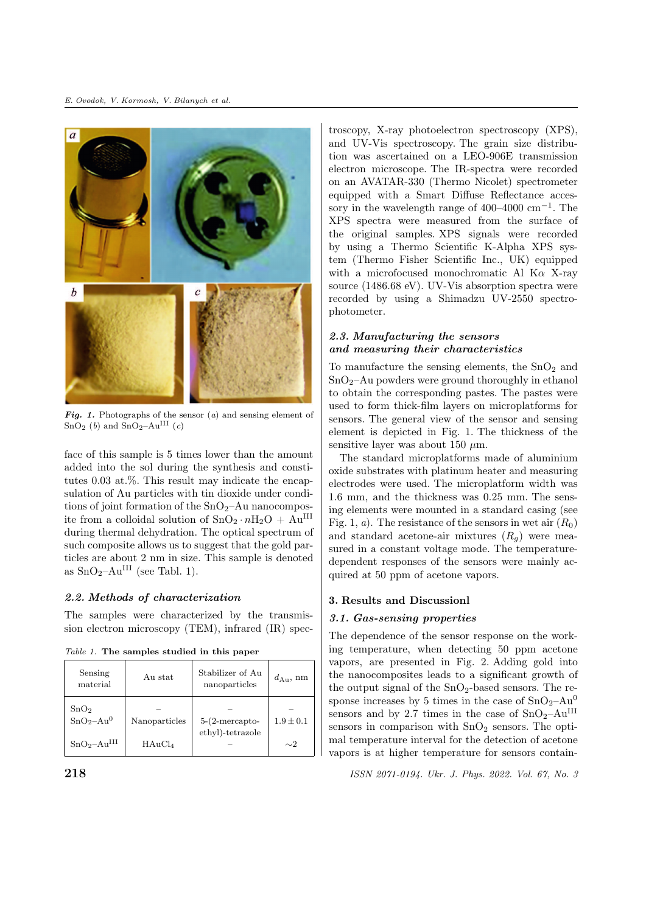

Fig. 1. Photographs of the sensor  $(a)$  and sensing element of  $SnO<sub>2</sub>$  (b) and  $SnO<sub>2</sub>–Au<sup>III</sup>$  (c)

face of this sample is 5 times lower than the amount added into the sol during the synthesis and constitutes 0.03 at.%. This result may indicate the encapsulation of Au particles with tin dioxide under conditions of joint formation of the  $SnO<sub>2</sub>–Au$  nanocomposite from a colloidal solution of  $\mathrm{SnO}_{2}\cdot n\mathrm{H}_{2}\mathrm{O}\,+\,\mathrm{Au}^{\mathrm{III}}$ during thermal dehydration. The optical spectrum of such composite allows us to suggest that the gold particles are about 2 nm in size. This sample is denoted as  $SnO<sub>2</sub>-Au<sup>III</sup>$  (see Tabl. 1).

### 2.2. Methods of characterization

The samples were characterized by the transmission electron microscopy (TEM), infrared (IR) spec-

Table 1. The samples studied in this paper

| Sensing<br>material | Au stat            | Stabilizer of Au<br>nanoparticles | $d_{\text{Au}}, \text{nm}$ |  |
|---------------------|--------------------|-----------------------------------|----------------------------|--|
| SnO <sub>2</sub>    |                    |                                   |                            |  |
| $SnO2-Au0$          | Nanoparticles      | $5-(2-mercapto-$                  | $1.9 \pm 0.1$              |  |
| $SnO2-AuIII$        | HAuCl <sub>4</sub> | ethyl)-tetrazole                  | $\sim$ 2                   |  |

troscopy, X-ray photoelectron spectroscopy (XPS), and UV-Vis spectroscopy. The grain size distribution was ascertained on a LEO-906E transmission electron microscope. The IR-spectra were recorded on an AVATAR-330 (Thermo Nicolet) spectrometer equipped with a Smart Diffuse Reflectance accessory in the wavelength range of 400–4000 cm<sup>-1</sup>. The XPS spectra were measured from the surface of the original samples. XPS signals were recorded by using a Thermo Scientific K-Alpha XPS system (Thermo Fisher Scientific Inc., UK) equipped with a microfocused monochromatic Al K $\alpha$  X-ray source (1486.68 eV). UV-Vis absorption spectra were recorded by using a Shimadzu UV-2550 spectrophotometer.

## 2.3. Manufacturing the sensors and measuring their characteristics

To manufacture the sensing elements, the  $SnO<sub>2</sub>$  and  $SnO<sub>2</sub>–Au$  powders were ground thoroughly in ethanol to obtain the corresponding pastes. The pastes were used to form thick-film layers on microplatforms for sensors. The general view of the sensor and sensing element is depicted in Fig. 1. The thickness of the sensitive layer was about 150  $\mu$ m.

The standard microplatforms made of aluminium oxide substrates with platinum heater and measuring electrodes were used. The microplatform width was 1.6 mm, and the thickness was 0.25 mm. The sensing elements were mounted in a standard casing (see Fig. 1, a). The resistance of the sensors in wet air  $(R_0)$ and standard acetone-air mixtures  $(R_q)$  were measured in a constant voltage mode. The temperaturedependent responses of the sensors were mainly acquired at 50 ppm of acetone vapors.

### 3. Results and Discussionl

### 3.1. Gas-sensing properties

The dependence of the sensor response on the working temperature, when detecting 50 ppm acetone vapors, are presented in Fig. 2. Adding gold into the nanocomposites leads to a significant growth of the output signal of the  $SnO<sub>2</sub>$ -based sensors. The response increases by 5 times in the case of  $SnO<sub>2</sub>-Au<sup>0</sup>$ sensors and by 2.7 times in the case of  $SnO<sub>2</sub>-Au<sup>III</sup>$ sensors in comparison with  $SnO<sub>2</sub>$  sensors. The optimal temperature interval for the detection of acetone vapors is at higher temperature for sensors contain-

**218 1SSN** 2071-0194. Ukr. J. Phys. 2022. Vol. 67, No. 3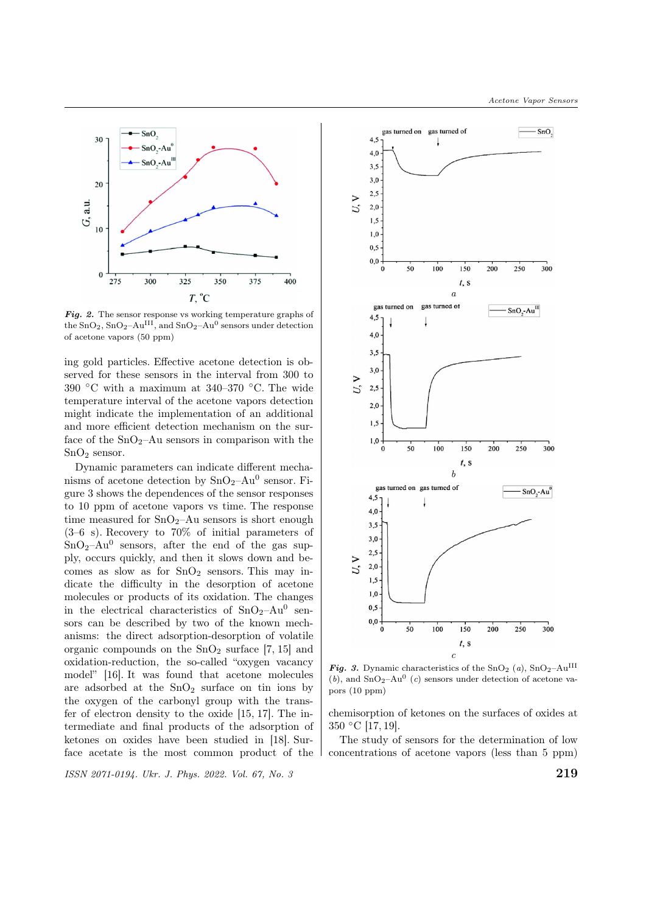

Fig. 2. The sensor response vs working temperature graphs of the  $SnO_2$ ,  $SnO_2-Au^{III}$ , and  $SnO_2-Au^0$  sensors under detection of acetone vapors (50 ppm)

ing gold particles. Effective acetone detection is observed for these sensors in the interval from 300 to 390 <sup>∘</sup>C with a maximum at 340–370 <sup>∘</sup>C. The wide temperature interval of the acetone vapors detection might indicate the implementation of an additional and more efficient detection mechanism on the surface of the  $SnO<sub>2</sub>–Au$  sensors in comparison with the  $SnO<sub>2</sub>$  sensor.

Dynamic parameters can indicate different mechanisms of acetone detection by  $SnO_2-Au^0$  sensor. Figure 3 shows the dependences of the sensor responses to 10 ppm of acetone vapors vs time. The response time measured for  $SnO_2-Au$  sensors is short enough (3–6 s). Recovery to 70% of initial parameters of  $SnO<sub>2</sub>-Au<sup>0</sup>$  sensors, after the end of the gas supply, occurs quickly, and then it slows down and becomes as slow as for  $SnO<sub>2</sub>$  sensors. This may indicate the difficulty in the desorption of acetone molecules or products of its oxidation. The changes in the electrical characteristics of  $SnO<sub>2</sub>-Au<sup>0</sup>$  sensors can be described by two of the known mechanisms: the direct adsorption-desorption of volatile organic compounds on the  $SnO<sub>2</sub>$  surface [7, 15] and oxidation-reduction, the so-called "oxygen vacancy model" [16]. It was found that acetone molecules are adsorbed at the  $SnO<sub>2</sub>$  surface on tin ions by the oxygen of the carbonyl group with the transfer of electron density to the oxide [15, 17]. The intermediate and final products of the adsorption of ketones on oxides have been studied in [18]. Surface acetate is the most common product of the

ISSN 2071-0194. Ukr. J. Phys. 2022. Vol. 67, No. 3 219



Fig. 3. Dynamic characteristics of the SnO<sub>2</sub> (a), SnO<sub>2</sub>-Au<sup>III</sup> (b), and  $SnO<sub>2</sub>-Au<sup>0</sup>$  (c) sensors under detection of acetone vapors (10 ppm)

chemisorption of ketones on the surfaces of oxides at 350 <sup>∘</sup>C [17, 19].

The study of sensors for the determination of low concentrations of acetone vapors (less than 5 ppm)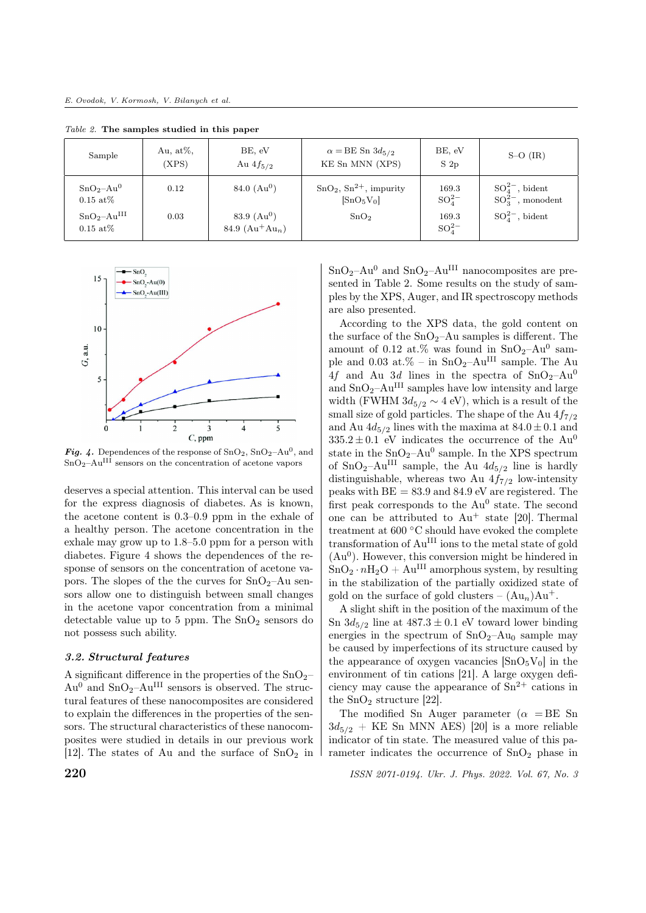| Sample                               | Au, $at\%$ .<br>(XPS) | BE, eV<br>Au $4f_{5/2}$            | $\alpha = BE \, Sn \, 3d_{5/2}$<br>KE Sn MNN (XPS)              | BE, eV<br>S <sub>2p</sub> | $S-O$ (IR)                                     |
|--------------------------------------|-----------------------|------------------------------------|-----------------------------------------------------------------|---------------------------|------------------------------------------------|
| $SnO2-Au0$<br>$0.15~\mathrm{at}\%$   | 0.12                  | 84.0 $(Au^0)$                      | $SnO2, Sn2+, impurity$<br>$\left[\text{SnO}_5\text{V}_0\right]$ | 169.3<br>$SO_4^{2-}$      | $SO_4^{2-}$ , bident<br>$SO_3^{2-}$ , monodent |
| $SnO2-AuIII$<br>$0.15 \text{ at} \%$ | 0.03                  | 83.9 $(Au^0)$<br>84.9 $(Au^+Au_n)$ | SnO <sub>2</sub>                                                | 169.3<br>$SO_4^{2-}$      | $SO_4^{2-}$ , bident                           |

Table 2. The samples studied in this paper



Fig. 4. Dependences of the response of  $SnO<sub>2</sub>, SnO<sub>2</sub>–Au<sup>0</sup>$ , and  $SnO<sub>2</sub>–Au<sup>III</sup>$  sensors on the concentration of acetone vapors

deserves a special attention. This interval can be used for the express diagnosis of diabetes. As is known, the acetone content is 0.3–0.9 ppm in the exhale of a healthy person. The acetone concentration in the exhale may grow up to 1.8–5.0 ppm for a person with diabetes. Figure 4 shows the dependences of the response of sensors on the concentration of acetone vapors. The slopes of the the curves for  $SnO<sub>2</sub>–Au$  sensors allow one to distinguish between small changes in the acetone vapor concentration from a minimal detectable value up to 5 ppm. The  $SnO<sub>2</sub>$  sensors do not possess such ability.

### 3.2. Structural features

A significant difference in the properties of the  $SnO<sub>2</sub>$  $Au^{0}$  and  $SnO<sub>2</sub>-Au<sup>III</sup>$  sensors is observed. The structural features of these nanocomposites are considered to explain the differences in the properties of the sensors. The structural characteristics of these nanocomposites were studied in details in our previous work [12]. The states of Au and the surface of  $SnO<sub>2</sub>$  in

 $SnO<sub>2</sub>-Au<sup>0</sup>$  and  $SnO<sub>2</sub>-Au<sup>III</sup>$  nanocomposites are presented in Table 2. Some results on the study of samples by the XPS, Auger, and IR spectroscopy methods are also presented.

According to the XPS data, the gold content on the surface of the  $SnO_2-Au$  samples is different. The amount of 0.12 at.% was found in  $SnO<sub>2</sub>-Au<sup>0</sup>$  sample and 0.03 at.% – in  $SnO_2-Au^{III}$  sample. The Au 4f and Au 3d lines in the spectra of  $SnO<sub>2</sub>-Au<sup>0</sup>$ and  $SnO<sub>2</sub>-Au<sup>III</sup>$  samples have low intensity and large width (FWHM  $3d_{5/2} \sim 4$  eV), which is a result of the small size of gold particles. The shape of the Au  $4f_{7/2}$ and Au  $4d_{5/2}$  lines with the maxima at  $84.0 \pm 0.1$  and  $335.2 \pm 0.1$  eV indicates the occurrence of the Au<sup>0</sup> state in the  $\text{SnO}_2-\text{Au}^0$  sample. In the XPS spectrum of  $SnO<sub>2</sub>-Au<sup>III</sup>$  sample, the Au  $4d<sub>5/2</sub>$  line is hardly distinguishable, whereas two Au  $4f_{7/2}$  low-intensity peaks with  $BE = 83.9$  and  $84.9$  eV are registered. The first peak corresponds to the  $Au^0$  state. The second one can be attributed to  $Au^+$  state [20]. Thermal treatment at 600 <sup>∘</sup>C should have evoked the complete transformation of AuIII ions to the metal state of gold (Au<sup>0</sup> ). However, this conversion might be hindered in  $\text{SnO}_2 \cdot n\text{H}_2\text{O} + \text{Au}^{\text{III}}$  amorphous system, by resulting in the stabilization of the partially oxidized state of gold on the surface of gold clusters –  $(Au_n)Au^+$ .

A slight shift in the position of the maximum of the Sn  $3d_{5/2}$  line at  $487.3 \pm 0.1$  eV toward lower binding energies in the spectrum of  $SnO<sub>2</sub>-Au<sub>0</sub>$  sample may be caused by imperfections of its structure caused by the appearance of oxygen vacancies  $\left[\text{SnO}_5\text{V}_0\right]$  in the environment of tin cations [21]. A large oxygen deficiency may cause the appearance of  $\text{Sn}^{2+}$  cations in the  $SnO<sub>2</sub>$  structure [22].

The modified Sn Auger parameter ( $\alpha = BE \, Sn$ )  $3d_{5/2}$  + KE Sn MNN AES) [20] is a more reliable indicator of tin state. The measured value of this parameter indicates the occurrence of  $SnO<sub>2</sub>$  phase in

 $220$  ISSN 2071-0194. Ukr. J. Phys. 2022. Vol. 67, No. 3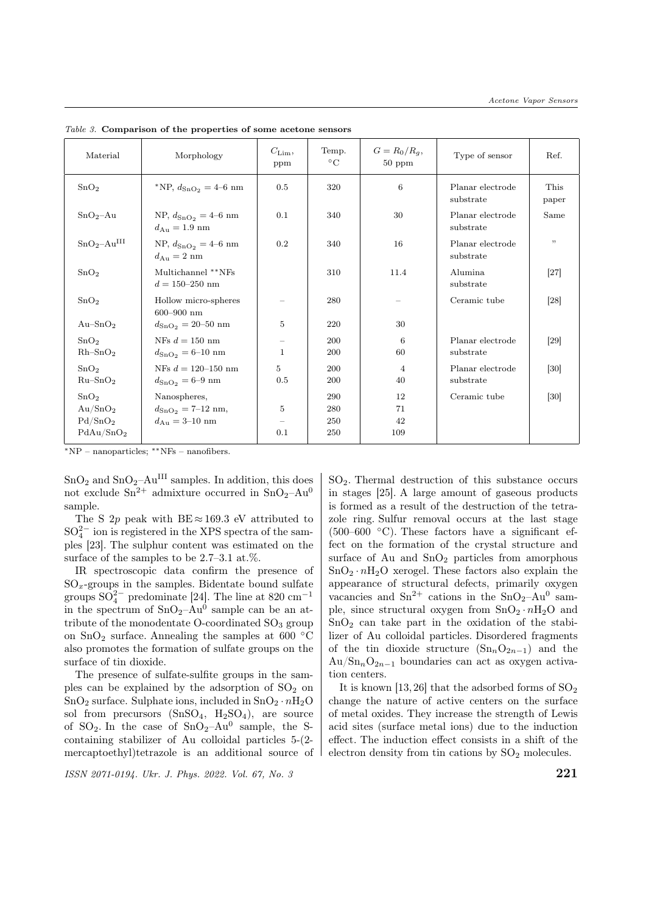| Material                                                                                | Morphology                                                                                  | $C_{\text{Lim}},$<br>ppm                 | Temp.<br>$\circ$ C       | $G = R_0/R_g,$<br>$50$ ppm | Type of sensor                | Ref.          |
|-----------------------------------------------------------------------------------------|---------------------------------------------------------------------------------------------|------------------------------------------|--------------------------|----------------------------|-------------------------------|---------------|
| SnO <sub>2</sub>                                                                        | *NP, $d_{\text{SnO}_2} = 4$ -6 nm                                                           | 0.5                                      | 320                      | 6                          | Planar electrode<br>substrate | This<br>paper |
| $SnO2-Au$                                                                               | NP, $d_{\text{SnO}_2} = 4{\text{--}}6$ nm<br>$d_{\text{Au}} = 1.9 \text{ nm}$               | 0.1                                      | 340                      | 30                         | Planar electrode<br>substrate | Same          |
| $SnO2-AuIII$                                                                            | NP, $d_{\text{SnO}_2} = 4{\text -}6$ nm<br>$d_{\text{Au}} = 2 \text{ nm}$                   | 0.2                                      | 340                      | 16                         | Planar electrode<br>substrate | , ,           |
| SnO <sub>2</sub>                                                                        | Multichannel **NFs<br>$d = 150 - 250$ nm                                                    |                                          | 310                      | 11.4                       | Alumina<br>substrate          | $[27]$        |
| SnO <sub>2</sub>                                                                        | Hollow micro-spheres<br>$600 - 900$ nm                                                      |                                          | 280                      |                            | Ceramic tube                  | $[28]$        |
| $Au-SnO2$                                                                               | $d_{\rm SnO_2} = 20 - 50$ nm                                                                | 5                                        | 220                      | 30                         |                               |               |
| SnO <sub>2</sub><br>$Rh-SnO2$                                                           | NFs $d = 150$ nm<br>$d_{\text{SnO}_2} = 6{\text -}10$ nm                                    | $\overline{\phantom{m}}$<br>$\mathbf{1}$ | 200<br><b>200</b>        | 6<br>60                    | Planar electrode<br>substrate | $[29]$        |
| SnO <sub>2</sub><br>$Ru-SnO2$                                                           | NFs $d = 120 - 150$ nm<br>$d_{\text{SnO}_2} = 6 - 9$ nm                                     | 5<br>0.5                                 | 200<br><b>200</b>        | $\overline{4}$<br>40       | Planar electrode<br>substrate | $[30]$        |
| SnO <sub>2</sub><br>Au/SnO <sub>2</sub><br>Pd/SnO <sub>2</sub><br>PdAu/SnO <sub>2</sub> | Nanospheres,<br>$d_{\text{SnO}_2} = 7{\text -}12$ nm,<br>$d_{\text{Au}} = 3{\text{-}}10$ nm | 5<br>0.1                                 | 290<br>280<br>250<br>250 | 12<br>71<br>42<br>109      | Ceramic tube                  | $[30]$        |

Table 3. Comparison of the properties of some acetone sensors

\*NP – nanoparticles; \*\*NFs – nanofibers.

 $SnO<sub>2</sub>$  and  $SnO<sub>2</sub>-Au<sup>III</sup>$  samples. In addition, this does not exclude  $\text{Sn}^{2+}$  admixture occurred in  $\text{SnO}_2-\text{Au}^0$ sample.

The S 2p peak with BE  $\approx$  169.3 eV attributed to  $SO_4^{2-}$  ion is registered in the XPS spectra of the samples [23]. The sulphur content was estimated on the surface of the samples to be 2.7–3.1 at.%.

IR spectroscopic data confirm the presence of  $SO_x$ -groups in the samples. Bidentate bound sulfate groups  $\mathrm{SO}_4^{2-}$  predominate [24]. The line at 820 cm<sup>-1</sup> in the spectrum of  $SnO<sub>2</sub>-Au<sup>0</sup>$  sample can be an attribute of the monodentate O-coordinated  $SO<sub>3</sub>$  group on SnO<sub>2</sub> surface. Annealing the samples at 600 °C also promotes the formation of sulfate groups on the surface of tin dioxide.

The presence of sulfate-sulfite groups in the samples can be explained by the adsorption of  $SO<sub>2</sub>$  on  $SnO<sub>2</sub> surface. Subplate ions, included in SnO<sub>2</sub> · nH<sub>2</sub>O$ sol from precursors  $(SnSO_4, H_2SO_4)$ , are source of  $SO_2$ . In the case of  $SnO_2-Au^0$  sample, the Scontaining stabilizer of Au colloidal particles 5-(2 mercaptoethyl)tetrazole is an additional source of

ISSN 2071-0194. Ukr. J. Phys. 2022. Vol. 67, No. 3  $221$ 

SO2. Thermal destruction of this substance occurs in stages [25]. A large amount of gaseous products is formed as a result of the destruction of the tetrazole ring. Sulfur removal occurs at the last stage (500–600 <sup>∘</sup>C). These factors have a significant effect on the formation of the crystal structure and surface of Au and  $SnO<sub>2</sub>$  particles from amorphous  $SnO<sub>2</sub>·nH<sub>2</sub>O$  xerogel. These factors also explain the appearance of structural defects, primarily oxygen vacancies and  $\text{Sn}^{2+}$  cations in the  $\text{SnO}_2-\text{Au}^0$  sample, since structural oxygen from  $SnO<sub>2</sub> · nH<sub>2</sub>O$  and  $SnO<sub>2</sub>$  can take part in the oxidation of the stabilizer of Au colloidal particles. Disordered fragments of the tin dioxide structure  $(Sn_nO_{2n-1})$  and the  $Au/Sn_nO_{2n-1}$  boundaries can act as oxygen activation centers.

It is known [13, 26] that the adsorbed forms of  $SO<sub>2</sub>$ change the nature of active centers on the surface of metal oxides. They increase the strength of Lewis acid sites (surface metal ions) due to the induction effect. The induction effect consists in a shift of the electron density from tin cations by  $SO<sub>2</sub>$  molecules.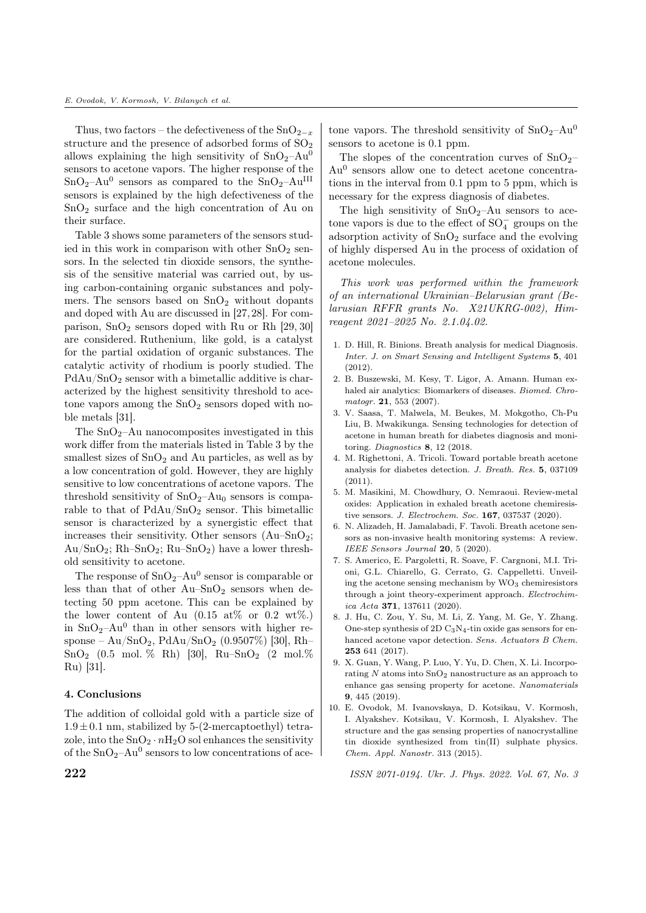Thus, two factors – the defectiveness of the  $SnO_{2-x}$ structure and the presence of adsorbed forms of  $SO<sub>2</sub>$ allows explaining the high sensitivity of  $SnO<sub>2</sub>-Au<sup>0</sup>$ sensors to acetone vapors. The higher response of the  $SnO<sub>2</sub>-Au<sup>0</sup>$  sensors as compared to the  $SnO<sub>2</sub>-Au<sup>III</sup>$ sensors is explained by the high defectiveness of the SnO<sup>2</sup> surface and the high concentration of Au on their surface.

Table 3 shows some parameters of the sensors studied in this work in comparison with other  $SnO<sub>2</sub>$  sensors. In the selected tin dioxide sensors, the synthesis of the sensitive material was carried out, by using carbon-containing organic substances and polymers. The sensors based on  $SnO<sub>2</sub>$  without dopants and doped with Au are discussed in [27,28]. For comparison,  $SnO<sub>2</sub>$  sensors doped with Ru or Rh [29, 30] are considered. Ruthenium, like gold, is a catalyst for the partial oxidation of organic substances. The catalytic activity of rhodium is poorly studied. The  $PdAu/SnO<sub>2</sub>$  sensor with a bimetallic additive is characterized by the highest sensitivity threshold to acetone vapors among the  $SnO<sub>2</sub>$  sensors doped with noble metals [31].

The  $SnO<sub>2</sub>–Au$  nanocomposites investigated in this work differ from the materials listed in Table 3 by the smallest sizes of  $SnO<sub>2</sub>$  and Au particles, as well as by a low concentration of gold. However, they are highly sensitive to low concentrations of acetone vapors. The threshold sensitivity of  $SnO<sub>2</sub>-Au<sub>0</sub>$  sensors is comparable to that of  $PdAu/SnO<sub>2</sub>$  sensor. This bimetallic sensor is characterized by a synergistic effect that increases their sensitivity. Other sensors  $(Au-SnO<sub>2</sub>;$  $Au/SnO_2$ ; Rh–SnO<sub>2</sub>; Ru–SnO<sub>2</sub>) have a lower threshold sensitivity to acetone.

The response of  $SnO<sub>2</sub>-Au<sup>0</sup>$  sensor is comparable or less than that of other  $Au-SnO<sub>2</sub>$  sensors when detecting 50 ppm acetone. This can be explained by the lower content of Au  $(0.15 \text{ at\%} \text{ or } 0.2 \text{ wt\%})$ . in  $SnO<sub>2</sub>-Au<sup>0</sup>$  than in other sensors with higher response – Au/SnO<sub>2</sub>, PdAu/SnO<sub>2</sub> (0.9507\%) [30], Rh– SnO<sub>2</sub> (0.5 mol.  $%$  Rh) [30], Ru–SnO<sub>2</sub> (2 mol. $%$ Ru) [31].

### 4. Conclusions

The addition of colloidal gold with a particle size of  $1.9 \pm 0.1$  nm, stabilized by 5-(2-mercaptoethyl) tetrazole, into the  $SnO_2 \cdot nH_2O$  sol enhances the sensitivity of the  $SnO<sub>2</sub>-Au<sup>0</sup>$  sensors to low concentrations of acetone vapors. The threshold sensitivity of  $SnO<sub>2</sub>-Au<sup>0</sup>$ sensors to acetone is 0.1 ppm.

The slopes of the concentration curves of  $SnO<sub>2</sub>$ Au<sup>0</sup> sensors allow one to detect acetone concentrations in the interval from 0.1 ppm to 5 ppm, which is necessary for the express diagnosis of diabetes.

The high sensitivity of  $SnO<sub>2</sub>-Au$  sensors to acetone vapors is due to the effect of  $\mathrm{SO}_4^-$  groups on the adsorption activity of  $SnO<sub>2</sub>$  surface and the evolving of highly dispersed Au in the process of oxidation of acetone molecules.

This work was performed within the framework of an international Ukrainian–Belarusian grant (Belarusian RFFR grants No. X21UKRG-002), Himreagent 2021–2025 No. 2.1.04.02.

- 1. D. Hill, R. Binions. Breath analysis for medical Diagnosis. Inter. J. on Smart Sensing and Intelligent Systems 5, 401 (2012).
- 2. B. Buszewski, M. Kesy, T. Ligor, A. Amann. Human exhaled air analytics: Biomarkers of diseases. *Biomed. Chro*matogr. 21, 553 (2007).
- 3. V. Saasa, T. Malwela, M. Beukes, M. Mokgotho, Ch-Pu Liu, B. Mwakikunga. Sensing technologies for detection of acetone in human breath for diabetes diagnosis and monitoring. Diagnostics 8, 12 (2018.
- 4. M. Righettoni, A. Tricoli. Toward portable breath acetone analysis for diabetes detection. J. Breath. Res. 5, 037109 (2011).
- 5. M. Masikini, M. Chowdhury, O. Nemraoui. Review-metal oxides: Application in exhaled breath acetone chemiresistive sensors. J. Electrochem. Soc. 167, 037537 (2020).
- 6. N. Alizadeh, H. Jamalabadi, F. Tavoli. Breath acetone sensors as non-invasive health monitoring systems: A review. IEEE Sensors Journal 20, 5 (2020).
- 7. S. Americo, E. Pargoletti, R. Soave, F. Cargnoni, M.I. Trioni, G.L. Chiarello, G. Cerrato, G. Cappelletti. Unveiling the acetone sensing mechanism by  $WO<sub>3</sub>$  chemiresistors through a joint theory-experiment approach. Electrochimica Acta 371, 137611 (2020).
- 8. J. Hu, C. Zou, Y. Su, M. Li, Z. Yang, M. Ge, Y. Zhang. One-step synthesis of  $2D C_3N_4$ -tin oxide gas sensors for enhanced acetone vapor detection. Sens. Actuators B Chem. 253 641 (2017).
- 9. X. Guan, Y. Wang, P. Luo, Y. Yu, D. Chen, X. Li. Incorporating  $N$  atoms into  $SnO<sub>2</sub>$  nanostructure as an approach to enhance gas sensing property for acetone. Nanomaterials 9, 445 (2019).
- 10. E. Ovodok, M. Ivanovskaya, D. Kotsikau, V. Kormosh, I. Alyakshev. Kotsikau, V. Kormosh, I. Alyakshev. The structure and the gas sensing properties of nanocrystalline tin dioxide synthesized from tin(II) sulphate physics. Chem. Appl. Nanostr. 313 (2015).

 $222$  ISSN 2071-0194. Ukr. J. Phys. 2022. Vol. 67, No. 3